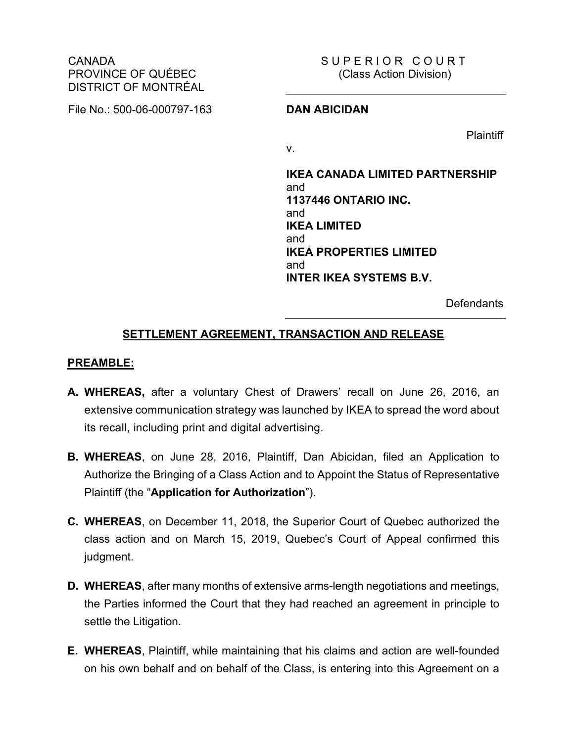CANADA PROVINCE OF QUÉBEC DISTRICT OF MONTRÉAL

File No.: 500-06-000797-163 **DAN ABICIDAN**

SUPERIOR COURT (Class Action Division)

**Plaintiff** 

v.

**IKEA CANADA LIMITED PARTNERSHIP** and **1137446 ONTARIO INC.** and **IKEA LIMITED** and **IKEA PROPERTIES LIMITED** and **INTER IKEA SYSTEMS B.V.**

**Defendants** 

### **SETTLEMENT AGREEMENT, TRANSACTION AND RELEASE**

#### **PREAMBLE:**

- **A. WHEREAS,** after a voluntary Chest of Drawers' recall on June 26, 2016, an extensive communication strategy was launched by IKEA to spread the word about its recall, including print and digital advertising.
- **B. WHEREAS**, on June 28, 2016, Plaintiff, Dan Abicidan, filed an Application to Authorize the Bringing of a Class Action and to Appoint the Status of Representative Plaintiff (the "**Application for Authorization**").
- **C. WHEREAS**, on December 11, 2018, the Superior Court of Quebec authorized the class action and on March 15, 2019, Quebec's Court of Appeal confirmed this judgment.
- **D. WHEREAS**, after many months of extensive arms-length negotiations and meetings, the Parties informed the Court that they had reached an agreement in principle to settle the Litigation.
- **E. WHEREAS**, Plaintiff, while maintaining that his claims and action are well-founded on his own behalf and on behalf of the Class, is entering into this Agreement on a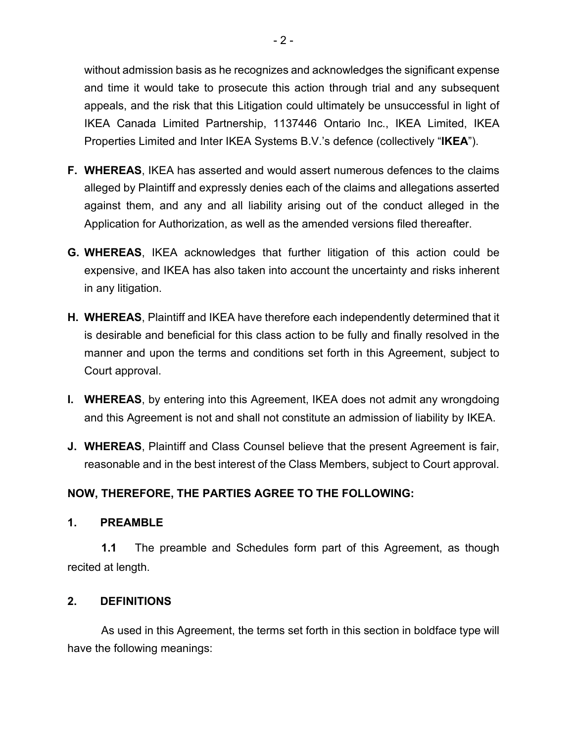without admission basis as he recognizes and acknowledges the significant expense and time it would take to prosecute this action through trial and any subsequent appeals, and the risk that this Litigation could ultimately be unsuccessful in light of IKEA Canada Limited Partnership, 1137446 Ontario Inc., IKEA Limited, IKEA Properties Limited and Inter IKEA Systems B.V.'s defence (collectively "**IKEA**").

- **F. WHEREAS**, IKEA has asserted and would assert numerous defences to the claims alleged by Plaintiff and expressly denies each of the claims and allegations asserted against them, and any and all liability arising out of the conduct alleged in the Application for Authorization, as well as the amended versions filed thereafter.
- **G. WHEREAS**, IKEA acknowledges that further litigation of this action could be expensive, and IKEA has also taken into account the uncertainty and risks inherent in any litigation.
- **H. WHEREAS**, Plaintiff and IKEA have therefore each independently determined that it is desirable and beneficial for this class action to be fully and finally resolved in the manner and upon the terms and conditions set forth in this Agreement, subject to Court approval.
- **I. WHEREAS**, by entering into this Agreement, IKEA does not admit any wrongdoing and this Agreement is not and shall not constitute an admission of liability by IKEA.
- **J. WHEREAS**, Plaintiff and Class Counsel believe that the present Agreement is fair, reasonable and in the best interest of the Class Members, subject to Court approval.

# **NOW, THEREFORE, THE PARTIES AGREE TO THE FOLLOWING:**

#### **1. PREAMBLE**

**1.1** The preamble and Schedules form part of this Agreement, as though recited at length.

## **2. DEFINITIONS**

As used in this Agreement, the terms set forth in this section in boldface type will have the following meanings: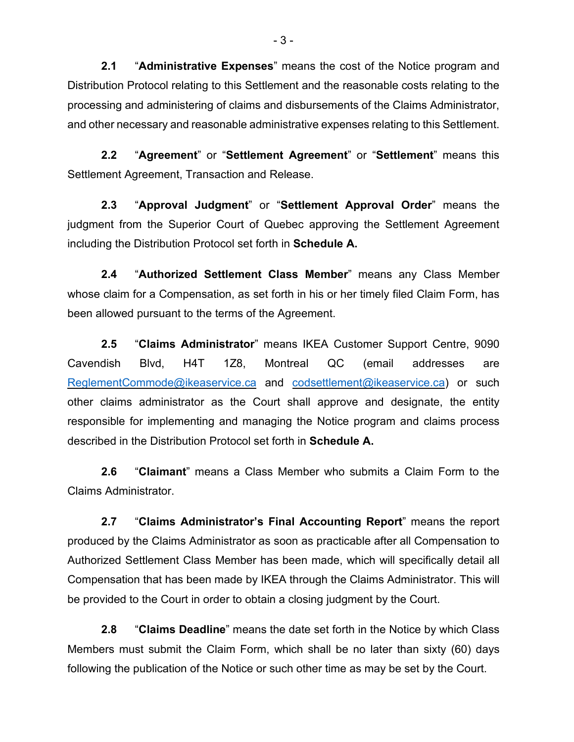**2.1** "**Administrative Expenses**" means the cost of the Notice program and Distribution Protocol relating to this Settlement and the reasonable costs relating to the processing and administering of claims and disbursements of the Claims Administrator, and other necessary and reasonable administrative expenses relating to this Settlement.

**2.2** "**Agreement**" or "**Settlement Agreement**" or "**Settlement**" means this Settlement Agreement, Transaction and Release.

**2.3** "**Approval Judgment**" or "**Settlement Approval Order**" means the judgment from the Superior Court of Quebec approving the Settlement Agreement including the Distribution Protocol set forth in **Schedule A.**

**2.4** "**Authorized Settlement Class Member**" means any Class Member whose claim for a Compensation, as set forth in his or her timely filed Claim Form, has been allowed pursuant to the terms of the Agreement.

**2.5** "**Claims Administrator**" means IKEA Customer Support Centre, 9090 Cavendish Blvd, H4T 1Z8, Montreal QC (email addresses are [ReglementCommode@ikeaservice.ca](mailto:ReglementCommode@ikeaservice.ca) and [codsettlement@ikeaservice.ca\)](mailto:codsettlement@ikeaservice.ca) or such other claims administrator as the Court shall approve and designate, the entity responsible for implementing and managing the Notice program and claims process described in the Distribution Protocol set forth in **Schedule A.**

**2.6** "**Claimant**" means a Class Member who submits a Claim Form to the Claims Administrator.

**2.7** "**Claims Administrator's Final Accounting Report**" means the report produced by the Claims Administrator as soon as practicable after all Compensation to Authorized Settlement Class Member has been made, which will specifically detail all Compensation that has been made by IKEA through the Claims Administrator. This will be provided to the Court in order to obtain a closing judgment by the Court.

**2.8** "**Claims Deadline**" means the date set forth in the Notice by which Class Members must submit the Claim Form, which shall be no later than sixty (60) days following the publication of the Notice or such other time as may be set by the Court.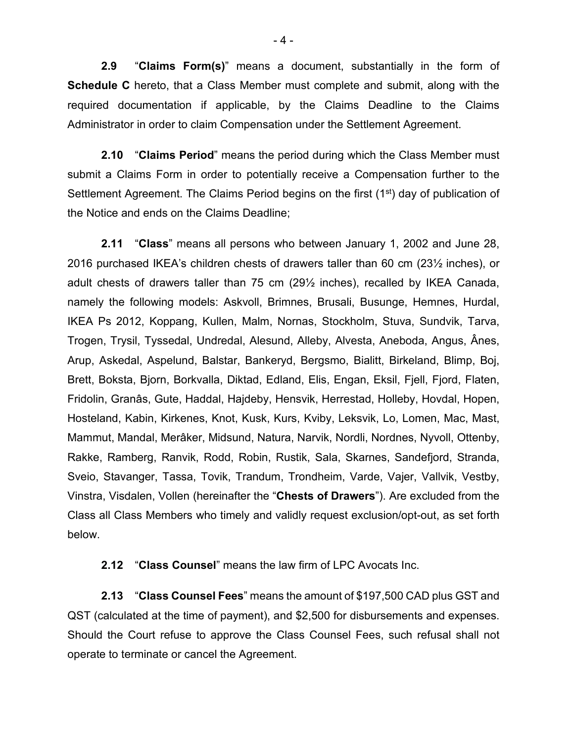**2.9** "**Claims Form(s)**" means a document, substantially in the form of **Schedule C** hereto, that a Class Member must complete and submit, along with the required documentation if applicable, by the Claims Deadline to the Claims Administrator in order to claim Compensation under the Settlement Agreement.

**2.10** "**Claims Period**" means the period during which the Class Member must submit a Claims Form in order to potentially receive a Compensation further to the Settlement Agreement. The Claims Period begins on the first (1<sup>st</sup>) day of publication of the Notice and ends on the Claims Deadline;

**2.11** "**Class**" means all persons who between January 1, 2002 and June 28, 2016 purchased IKEA's children chests of drawers taller than 60 cm (23½ inches), or adult chests of drawers taller than 75 cm (29½ inches), recalled by IKEA Canada, namely the following models: Askvoll, Brimnes, Brusali, Busunge, Hemnes, Hurdal, IKEA Ps 2012, Koppang, Kullen, Malm, Nornas, Stockholm, Stuva, Sundvik, Tarva, Trogen, Trysil, Tyssedal, Undredal, Alesund, Alleby, Alvesta, Aneboda, Angus, Ânes, Arup, Askedal, Aspelund, Balstar, Bankeryd, Bergsmo, Bialitt, Birkeland, Blimp, Boj, Brett, Boksta, Bjorn, Borkvalla, Diktad, Edland, Elis, Engan, Eksil, Fjell, Fjord, Flaten, Fridolin, Granâs, Gute, Haddal, Hajdeby, Hensvik, Herrestad, Holleby, Hovdal, Hopen, Hosteland, Kabin, Kirkenes, Knot, Kusk, Kurs, Kviby, Leksvik, Lo, Lomen, Mac, Mast, Mammut, Mandal, Merâker, Midsund, Natura, Narvik, Nordli, Nordnes, Nyvoll, Ottenby, Rakke, Ramberg, Ranvik, Rodd, Robin, Rustik, Sala, Skarnes, Sandefjord, Stranda, Sveio, Stavanger, Tassa, Tovik, Trandum, Trondheim, Varde, Vajer, Vallvik, Vestby, Vinstra, Visdalen, Vollen (hereinafter the "**Chests of Drawers**"). Are excluded from the Class all Class Members who timely and validly request exclusion/opt-out, as set forth below.

**2.12** "**Class Counsel**" means the law firm of LPC Avocats Inc.

**2.13** "**Class Counsel Fees**" means the amount of \$197,500 CAD plus GST and QST (calculated at the time of payment), and \$2,500 for disbursements and expenses. Should the Court refuse to approve the Class Counsel Fees, such refusal shall not operate to terminate or cancel the Agreement.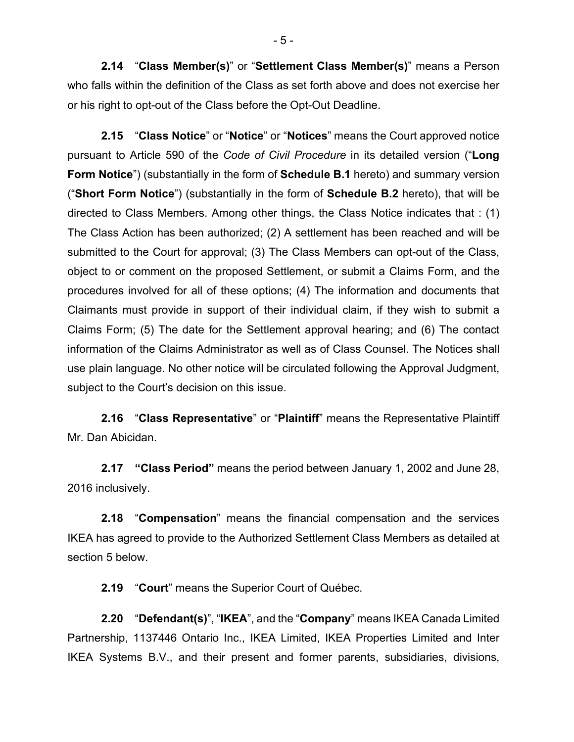**2.14** "**Class Member(s)**" or "**Settlement Class Member(s)**" means a Person who falls within the definition of the Class as set forth above and does not exercise her or his right to opt-out of the Class before the Opt-Out Deadline.

**2.15** "**Class Notice**" or "**Notice**" or "**Notices**" means the Court approved notice pursuant to Article 590 of the *Code of Civil Procedure* in its detailed version ("**Long Form Notice**") (substantially in the form of **Schedule B.1** hereto) and summary version ("**Short Form Notice**") (substantially in the form of **Schedule B.2** hereto), that will be directed to Class Members. Among other things, the Class Notice indicates that : (1) The Class Action has been authorized; (2) A settlement has been reached and will be submitted to the Court for approval; (3) The Class Members can opt-out of the Class, object to or comment on the proposed Settlement, or submit a Claims Form, and the procedures involved for all of these options; (4) The information and documents that Claimants must provide in support of their individual claim, if they wish to submit a Claims Form; (5) The date for the Settlement approval hearing; and (6) The contact information of the Claims Administrator as well as of Class Counsel. The Notices shall use plain language. No other notice will be circulated following the Approval Judgment, subject to the Court's decision on this issue.

**2.16** "**Class Representative**" or "**Plaintiff**" means the Representative Plaintiff Mr. Dan Abicidan.

**2.17 "Class Period"** means the period between January 1, 2002 and June 28, 2016 inclusively.

**2.18** "**Compensation**" means the financial compensation and the services IKEA has agreed to provide to the Authorized Settlement Class Members as detailed at section 5 below.

**2.19** "**Court**" means the Superior Court of Québec.

**2.20** "**Defendant(s)**", "**IKEA**", and the "**Company**" means IKEA Canada Limited Partnership, 1137446 Ontario Inc., IKEA Limited, IKEA Properties Limited and Inter IKEA Systems B.V., and their present and former parents, subsidiaries, divisions,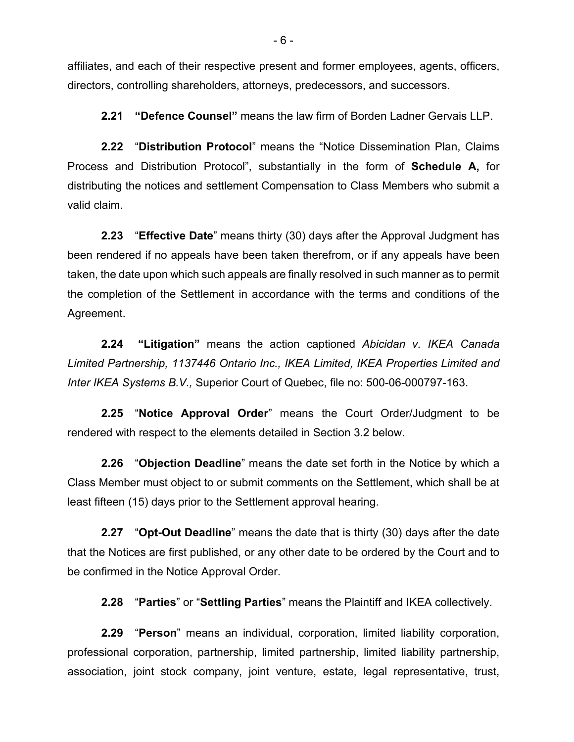affiliates, and each of their respective present and former employees, agents, officers, directors, controlling shareholders, attorneys, predecessors, and successors.

**2.21 "Defence Counsel"** means the law firm of Borden Ladner Gervais LLP.

**2.22** "**Distribution Protocol**" means the "Notice Dissemination Plan, Claims Process and Distribution Protocol", substantially in the form of **Schedule A,** for distributing the notices and settlement Compensation to Class Members who submit a valid claim.

**2.23** "**Effective Date**" means thirty (30) days after the Approval Judgment has been rendered if no appeals have been taken therefrom, or if any appeals have been taken, the date upon which such appeals are finally resolved in such manner as to permit the completion of the Settlement in accordance with the terms and conditions of the Agreement.

**2.24 "Litigation"** means the action captioned *Abicidan v. IKEA Canada Limited Partnership, 1137446 Ontario Inc., IKEA Limited, IKEA Properties Limited and Inter IKEA Systems B.V.,* Superior Court of Quebec, file no: 500-06-000797-163.

**2.25** "**Notice Approval Order**" means the Court Order/Judgment to be rendered with respect to the elements detailed in Section 3.2 below.

**2.26** "**Objection Deadline**" means the date set forth in the Notice by which a Class Member must object to or submit comments on the Settlement, which shall be at least fifteen (15) days prior to the Settlement approval hearing.

**2.27** "**Opt-Out Deadline**" means the date that is thirty (30) days after the date that the Notices are first published, or any other date to be ordered by the Court and to be confirmed in the Notice Approval Order.

**2.28** "**Parties**" or "**Settling Parties**" means the Plaintiff and IKEA collectively.

**2.29** "**Person**" means an individual, corporation, limited liability corporation, professional corporation, partnership, limited partnership, limited liability partnership, association, joint stock company, joint venture, estate, legal representative, trust,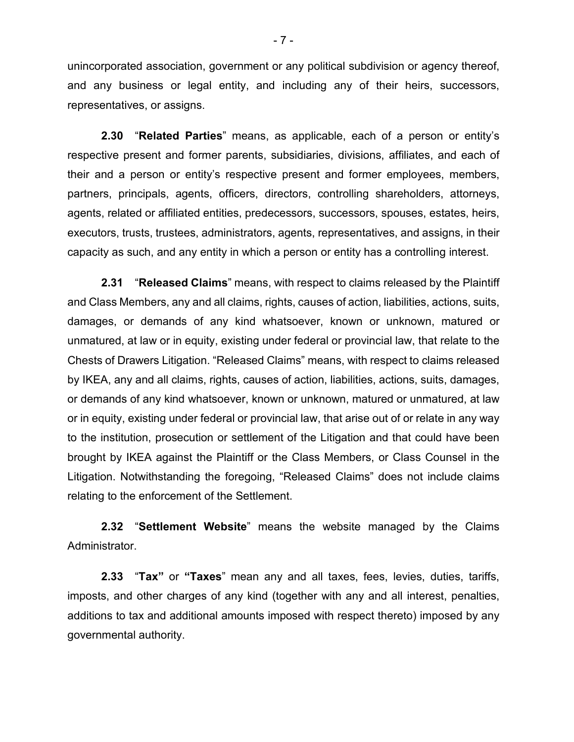unincorporated association, government or any political subdivision or agency thereof, and any business or legal entity, and including any of their heirs, successors, representatives, or assigns.

**2.30** "**Related Parties**" means, as applicable, each of a person or entity's respective present and former parents, subsidiaries, divisions, affiliates, and each of their and a person or entity's respective present and former employees, members, partners, principals, agents, officers, directors, controlling shareholders, attorneys, agents, related or affiliated entities, predecessors, successors, spouses, estates, heirs, executors, trusts, trustees, administrators, agents, representatives, and assigns, in their capacity as such, and any entity in which a person or entity has a controlling interest.

**2.31** "**Released Claims**" means, with respect to claims released by the Plaintiff and Class Members, any and all claims, rights, causes of action, liabilities, actions, suits, damages, or demands of any kind whatsoever, known or unknown, matured or unmatured, at law or in equity, existing under federal or provincial law, that relate to the Chests of Drawers Litigation. "Released Claims" means, with respect to claims released by IKEA, any and all claims, rights, causes of action, liabilities, actions, suits, damages, or demands of any kind whatsoever, known or unknown, matured or unmatured, at law or in equity, existing under federal or provincial law, that arise out of or relate in any way to the institution, prosecution or settlement of the Litigation and that could have been brought by IKEA against the Plaintiff or the Class Members, or Class Counsel in the Litigation. Notwithstanding the foregoing, "Released Claims" does not include claims relating to the enforcement of the Settlement.

**2.32** "**Settlement Website**" means the website managed by the Claims Administrator.

**2.33** "**Tax"** or **"Taxes**" mean any and all taxes, fees, levies, duties, tariffs, imposts, and other charges of any kind (together with any and all interest, penalties, additions to tax and additional amounts imposed with respect thereto) imposed by any governmental authority.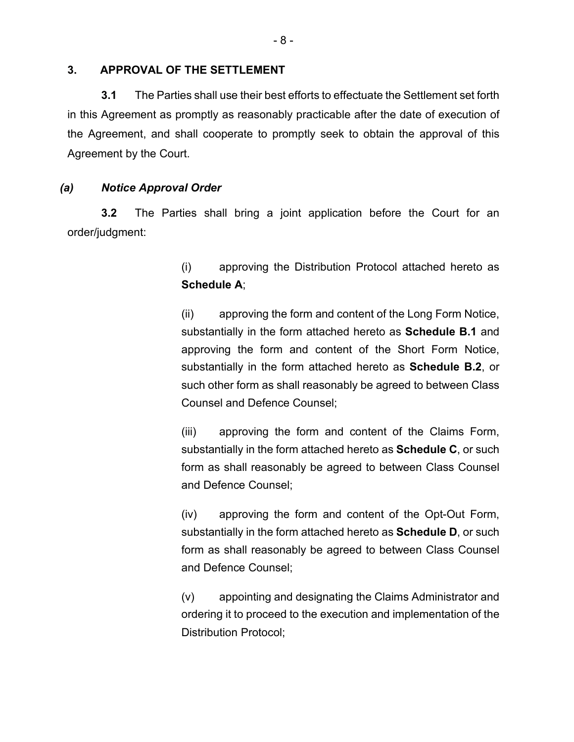#### **3. APPROVAL OF THE SETTLEMENT**

**3.1** The Parties shall use their best efforts to effectuate the Settlement set forth in this Agreement as promptly as reasonably practicable after the date of execution of the Agreement, and shall cooperate to promptly seek to obtain the approval of this Agreement by the Court.

#### *(a) Notice Approval Order*

**3.2** The Parties shall bring a joint application before the Court for an order/judgment:

> (i) approving the Distribution Protocol attached hereto as **Schedule A**;

> (ii) approving the form and content of the Long Form Notice, substantially in the form attached hereto as **Schedule B.1** and approving the form and content of the Short Form Notice, substantially in the form attached hereto as **Schedule B.2**, or such other form as shall reasonably be agreed to between Class Counsel and Defence Counsel;

> (iii) approving the form and content of the Claims Form, substantially in the form attached hereto as **Schedule C**, or such form as shall reasonably be agreed to between Class Counsel and Defence Counsel;

> (iv) approving the form and content of the Opt-Out Form, substantially in the form attached hereto as **Schedule D**, or such form as shall reasonably be agreed to between Class Counsel and Defence Counsel;

> (v) appointing and designating the Claims Administrator and ordering it to proceed to the execution and implementation of the Distribution Protocol;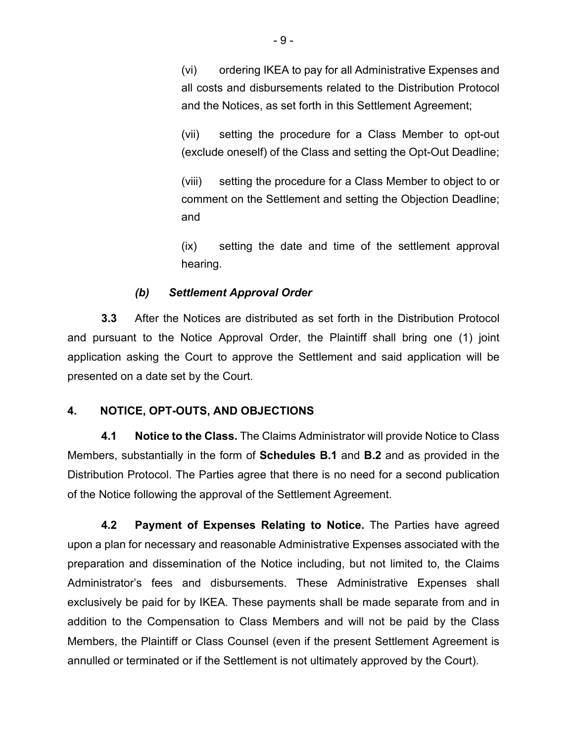(vi) ordering IKEA to pay for all Administrative Expenses and all costs and disbursements related to the Distribution Protocol and the Notices, as set forth in this Settlement Agreement;

(vii) setting the procedure for a Class Member to opt-out (exclude oneself) of the Class and setting the Opt-Out Deadline;

(viii) setting the procedure for a Class Member to object to or comment on the Settlement and setting the Objection Deadline; and

(ix) setting the date and time of the settlement approval hearing.

## *(b) Settlement Approval Order*

**3.3** After the Notices are distributed as set forth in the Distribution Protocol and pursuant to the Notice Approval Order, the Plaintiff shall bring one (1) joint application asking the Court to approve the Settlement and said application will be presented on a date set by the Court.

## **4. NOTICE, OPT-OUTS, AND OBJECTIONS**

**4.1 Notice to the Class.** The Claims Administrator will provide Notice to Class Members, substantially in the form of **Schedules B.1** and **B.2** and as provided in the Distribution Protocol. The Parties agree that there is no need for a second publication of the Notice following the approval of the Settlement Agreement.

**4.2 Payment of Expenses Relating to Notice.** The Parties have agreed upon a plan for necessary and reasonable Administrative Expenses associated with the preparation and dissemination of the Notice including, but not limited to, the Claims Administrator's fees and disbursements. These Administrative Expenses shall exclusively be paid for by IKEA. These payments shall be made separate from and in addition to the Compensation to Class Members and will not be paid by the Class Members, the Plaintiff or Class Counsel (even if the present Settlement Agreement is annulled or terminated or if the Settlement is not ultimately approved by the Court).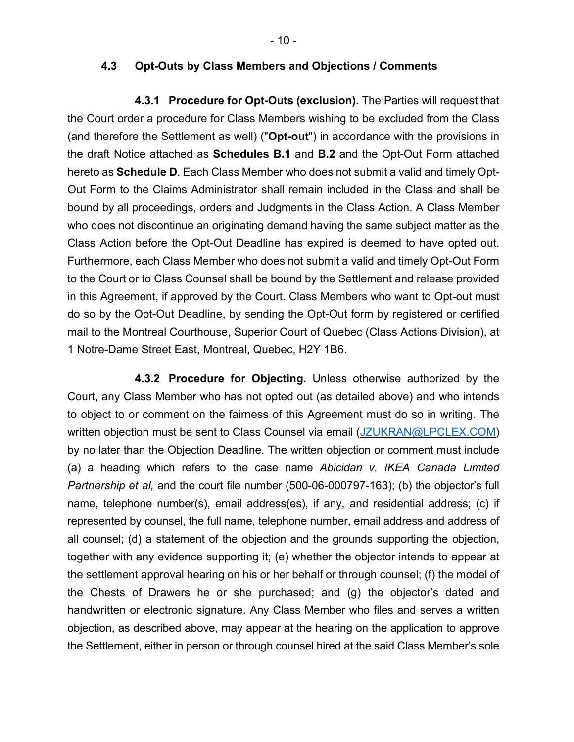#### **4.3 Opt-Outs by Class Members and Objections / Comments**

**4.3.1 Procedure for Opt-Outs (exclusion).** The Parties will request that the Court order a procedure for Class Members wishing to be excluded from the Class (and therefore the Settlement as well) ("**Opt-out**") in accordance with the provisions in the draft Notice attached as **Schedules B.1** and **B.2** and the Opt-Out Form attached hereto as **Schedule D**. Each Class Member who does not submit a valid and timely Opt-Out Form to the Claims Administrator shall remain included in the Class and shall be bound by all proceedings, orders and Judgments in the Class Action. A Class Member who does not discontinue an originating demand having the same subject matter as the Class Action before the Opt-Out Deadline has expired is deemed to have opted out. Furthermore, each Class Member who does not submit a valid and timely Opt-Out Form to the Court or to Class Counsel shall be bound by the Settlement and release provided in this Agreement, if approved by the Court. Class Members who want to Opt-out must do so by the Opt-Out Deadline, by sending the Opt-Out form by registered or certified mail to the Montreal Courthouse, Superior Court of Quebec (Class Actions Division), at 1 Notre-Dame Street East, Montreal, Quebec, H2Y 1B6.

**4.3.2 Procedure for Objecting.** Unless otherwise authorized by the Court, any Class Member who has not opted out (as detailed above) and who intends to object to or comment on the fairness of this Agreement must do so in writing. The written objection must be sent to Class Counsel via email [\(JZUKRAN@LPCLEX.COM\)](mailto:JZUKRAN@LPCLEX.COM) by no later than the Objection Deadline. The written objection or comment must include (a) a heading which refers to the case name *Abicidan v. IKEA Canada Limited Partnership et al,* and the court file number (500-06-000797-163); (b) the objector's full name, telephone number(s), email address(es), if any, and residential address; (c) if represented by counsel, the full name, telephone number, email address and address of all counsel; (d) a statement of the objection and the grounds supporting the objection, together with any evidence supporting it; (e) whether the objector intends to appear at the settlement approval hearing on his or her behalf or through counsel; (f) the model of the Chests of Drawers he or she purchased; and (g) the objector's dated and handwritten or electronic signature. Any Class Member who files and serves a written objection, as described above, may appear at the hearing on the application to approve the Settlement, either in person or through counsel hired at the said Class Member's sole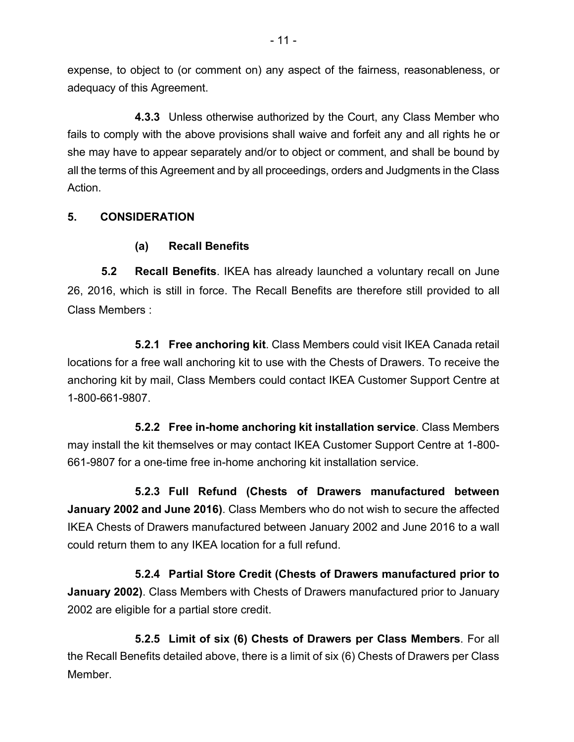expense, to object to (or comment on) any aspect of the fairness, reasonableness, or adequacy of this Agreement.

**4.3.3** Unless otherwise authorized by the Court, any Class Member who fails to comply with the above provisions shall waive and forfeit any and all rights he or she may have to appear separately and/or to object or comment, and shall be bound by all the terms of this Agreement and by all proceedings, orders and Judgments in the Class Action.

# **5. CONSIDERATION**

## **(a) Recall Benefits**

**5.2 Recall Benefits**. IKEA has already launched a voluntary recall on June 26, 2016, which is still in force. The Recall Benefits are therefore still provided to all Class Members :

**5.2.1 Free anchoring kit**. Class Members could visit IKEA Canada retail locations for a free wall anchoring kit to use with the Chests of Drawers. To receive the anchoring kit by mail, Class Members could contact IKEA Customer Support Centre at 1-800-661-9807.

**5.2.2 Free in-home anchoring kit installation service**. Class Members may install the kit themselves or may contact IKEA Customer Support Centre at 1-800- 661-9807 for a one-time free in-home anchoring kit installation service.

**5.2.3 Full Refund (Chests of Drawers manufactured between January 2002 and June 2016)**. Class Members who do not wish to secure the affected IKEA Chests of Drawers manufactured between January 2002 and June 2016 to a wall could return them to any IKEA location for a full refund.

**5.2.4 Partial Store Credit (Chests of Drawers manufactured prior to January 2002)**. Class Members with Chests of Drawers manufactured prior to January 2002 are eligible for a partial store credit.

**5.2.5 Limit of six (6) Chests of Drawers per Class Members**. For all the Recall Benefits detailed above, there is a limit of six (6) Chests of Drawers per Class Member.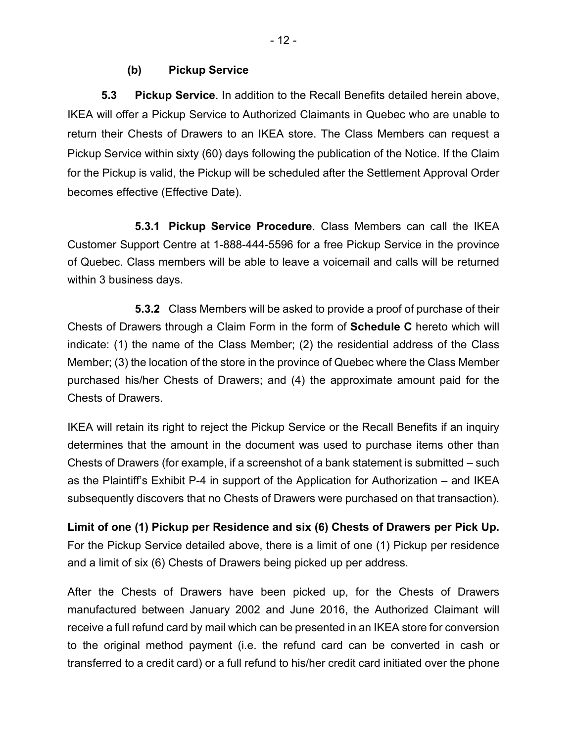### **(b) Pickup Service**

**5.3 Pickup Service**. In addition to the Recall Benefits detailed herein above, IKEA will offer a Pickup Service to Authorized Claimants in Quebec who are unable to return their Chests of Drawers to an IKEA store. The Class Members can request a Pickup Service within sixty (60) days following the publication of the Notice. If the Claim for the Pickup is valid, the Pickup will be scheduled after the Settlement Approval Order becomes effective (Effective Date).

**5.3.1 Pickup Service Procedure**. Class Members can call the IKEA Customer Support Centre at 1-888-444-5596 for a free Pickup Service in the province of Quebec. Class members will be able to leave a voicemail and calls will be returned within 3 business days.

**5.3.2** Class Members will be asked to provide a proof of purchase of their Chests of Drawers through a Claim Form in the form of **Schedule C** hereto which will indicate: (1) the name of the Class Member; (2) the residential address of the Class Member; (3) the location of the store in the province of Quebec where the Class Member purchased his/her Chests of Drawers; and (4) the approximate amount paid for the Chests of Drawers.

IKEA will retain its right to reject the Pickup Service or the Recall Benefits if an inquiry determines that the amount in the document was used to purchase items other than Chests of Drawers (for example, if a screenshot of a bank statement is submitted – such as the Plaintiff's Exhibit P-4 in support of the Application for Authorization – and IKEA subsequently discovers that no Chests of Drawers were purchased on that transaction).

**Limit of one (1) Pickup per Residence and six (6) Chests of Drawers per Pick Up.** For the Pickup Service detailed above, there is a limit of one (1) Pickup per residence and a limit of six (6) Chests of Drawers being picked up per address.

After the Chests of Drawers have been picked up, for the Chests of Drawers manufactured between January 2002 and June 2016, the Authorized Claimant will receive a full refund card by mail which can be presented in an IKEA store for conversion to the original method payment (i.e. the refund card can be converted in cash or transferred to a credit card) or a full refund to his/her credit card initiated over the phone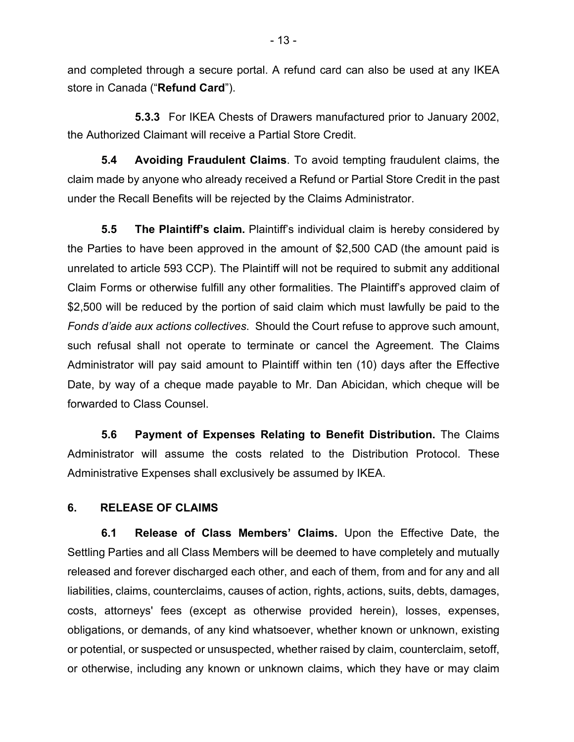and completed through a secure portal. A refund card can also be used at any IKEA store in Canada ("**Refund Card**").

**5.3.3** For IKEA Chests of Drawers manufactured prior to January 2002, the Authorized Claimant will receive a Partial Store Credit.

**5.4 Avoiding Fraudulent Claims**. To avoid tempting fraudulent claims, the claim made by anyone who already received a Refund or Partial Store Credit in the past under the Recall Benefits will be rejected by the Claims Administrator.

**5.5 The Plaintiff's claim.** Plaintiff's individual claim is hereby considered by the Parties to have been approved in the amount of \$2,500 CAD (the amount paid is unrelated to article 593 CCP). The Plaintiff will not be required to submit any additional Claim Forms or otherwise fulfill any other formalities. The Plaintiff's approved claim of \$2,500 will be reduced by the portion of said claim which must lawfully be paid to the *Fonds d'aide aux actions collectives*. Should the Court refuse to approve such amount, such refusal shall not operate to terminate or cancel the Agreement. The Claims Administrator will pay said amount to Plaintiff within ten (10) days after the Effective Date, by way of a cheque made payable to Mr. Dan Abicidan, which cheque will be forwarded to Class Counsel.

**5.6 Payment of Expenses Relating to Benefit Distribution.** The Claims Administrator will assume the costs related to the Distribution Protocol. These Administrative Expenses shall exclusively be assumed by IKEA.

#### **6. RELEASE OF CLAIMS**

**6.1 Release of Class Members' Claims.** Upon the Effective Date, the Settling Parties and all Class Members will be deemed to have completely and mutually released and forever discharged each other, and each of them, from and for any and all liabilities, claims, counterclaims, causes of action, rights, actions, suits, debts, damages, costs, attorneys' fees (except as otherwise provided herein), losses, expenses, obligations, or demands, of any kind whatsoever, whether known or unknown, existing or potential, or suspected or unsuspected, whether raised by claim, counterclaim, setoff, or otherwise, including any known or unknown claims, which they have or may claim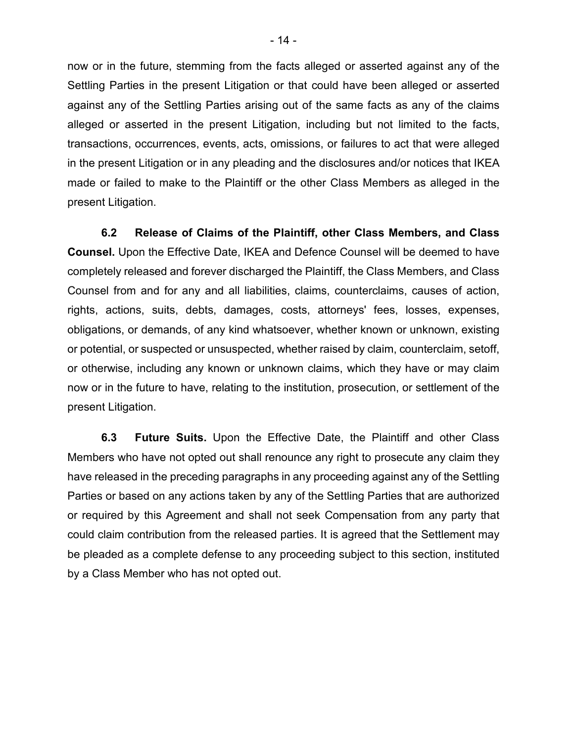now or in the future, stemming from the facts alleged or asserted against any of the Settling Parties in the present Litigation or that could have been alleged or asserted against any of the Settling Parties arising out of the same facts as any of the claims alleged or asserted in the present Litigation, including but not limited to the facts, transactions, occurrences, events, acts, omissions, or failures to act that were alleged in the present Litigation or in any pleading and the disclosures and/or notices that IKEA made or failed to make to the Plaintiff or the other Class Members as alleged in the present Litigation.

**6.2 Release of Claims of the Plaintiff, other Class Members, and Class Counsel.** Upon the Effective Date, IKEA and Defence Counsel will be deemed to have completely released and forever discharged the Plaintiff, the Class Members, and Class Counsel from and for any and all liabilities, claims, counterclaims, causes of action, rights, actions, suits, debts, damages, costs, attorneys' fees, losses, expenses, obligations, or demands, of any kind whatsoever, whether known or unknown, existing or potential, or suspected or unsuspected, whether raised by claim, counterclaim, setoff, or otherwise, including any known or unknown claims, which they have or may claim now or in the future to have, relating to the institution, prosecution, or settlement of the present Litigation.

**6.3 Future Suits.** Upon the Effective Date, the Plaintiff and other Class Members who have not opted out shall renounce any right to prosecute any claim they have released in the preceding paragraphs in any proceeding against any of the Settling Parties or based on any actions taken by any of the Settling Parties that are authorized or required by this Agreement and shall not seek Compensation from any party that could claim contribution from the released parties. It is agreed that the Settlement may be pleaded as a complete defense to any proceeding subject to this section, instituted by a Class Member who has not opted out.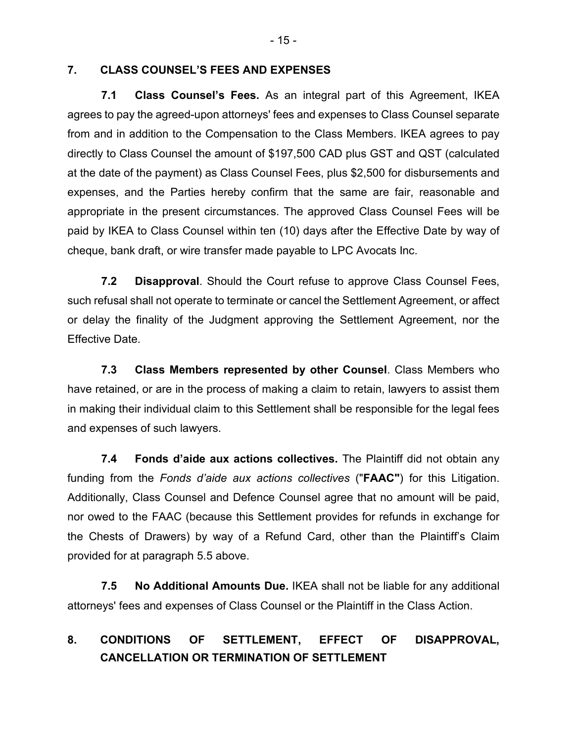#### **7. CLASS COUNSEL'S FEES AND EXPENSES**

**7.1 Class Counsel's Fees.** As an integral part of this Agreement, IKEA agrees to pay the agreed-upon attorneys' fees and expenses to Class Counsel separate from and in addition to the Compensation to the Class Members. IKEA agrees to pay directly to Class Counsel the amount of \$197,500 CAD plus GST and QST (calculated at the date of the payment) as Class Counsel Fees, plus \$2,500 for disbursements and expenses, and the Parties hereby confirm that the same are fair, reasonable and appropriate in the present circumstances. The approved Class Counsel Fees will be paid by IKEA to Class Counsel within ten (10) days after the Effective Date by way of cheque, bank draft, or wire transfer made payable to LPC Avocats Inc.

**7.2 Disapproval**. Should the Court refuse to approve Class Counsel Fees, such refusal shall not operate to terminate or cancel the Settlement Agreement, or affect or delay the finality of the Judgment approving the Settlement Agreement, nor the Effective Date.

**7.3 Class Members represented by other Counsel**. Class Members who have retained, or are in the process of making a claim to retain, lawyers to assist them in making their individual claim to this Settlement shall be responsible for the legal fees and expenses of such lawyers.

**7.4 Fonds d'aide aux actions collectives.** The Plaintiff did not obtain any funding from the *Fonds d'aide aux actions collectives* ("**FAAC"**) for this Litigation. Additionally, Class Counsel and Defence Counsel agree that no amount will be paid, nor owed to the FAAC (because this Settlement provides for refunds in exchange for the Chests of Drawers) by way of a Refund Card, other than the Plaintiff's Claim provided for at paragraph 5.5 above.

**7.5 No Additional Amounts Due.** IKEA shall not be liable for any additional attorneys' fees and expenses of Class Counsel or the Plaintiff in the Class Action.

# **8. CONDITIONS OF SETTLEMENT, EFFECT OF DISAPPROVAL, CANCELLATION OR TERMINATION OF SETTLEMENT**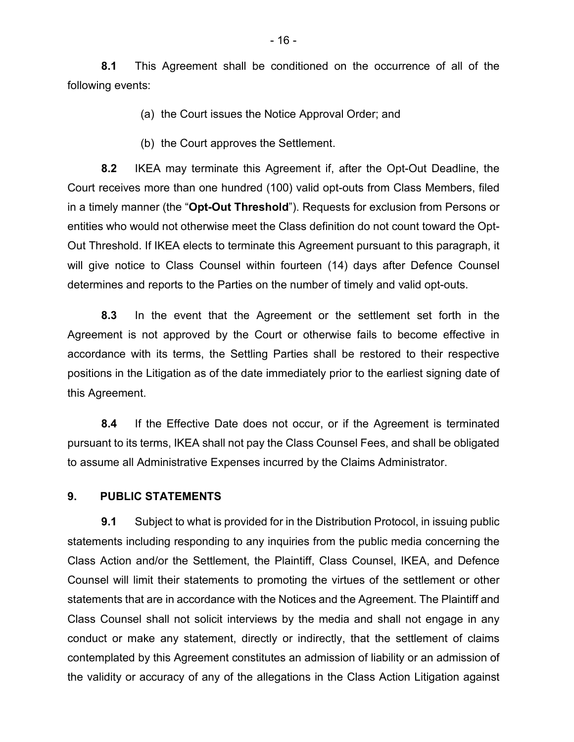**8.1** This Agreement shall be conditioned on the occurrence of all of the following events:

(a) the Court issues the Notice Approval Order; and

(b) the Court approves the Settlement.

**8.2** IKEA may terminate this Agreement if, after the Opt-Out Deadline, the Court receives more than one hundred (100) valid opt-outs from Class Members, filed in a timely manner (the "**Opt-Out Threshold**"). Requests for exclusion from Persons or entities who would not otherwise meet the Class definition do not count toward the Opt-Out Threshold. If IKEA elects to terminate this Agreement pursuant to this paragraph, it will give notice to Class Counsel within fourteen (14) days after Defence Counsel determines and reports to the Parties on the number of timely and valid opt-outs.

**8.3** In the event that the Agreement or the settlement set forth in the Agreement is not approved by the Court or otherwise fails to become effective in accordance with its terms, the Settling Parties shall be restored to their respective positions in the Litigation as of the date immediately prior to the earliest signing date of this Agreement.

**8.4** If the Effective Date does not occur, or if the Agreement is terminated pursuant to its terms, IKEA shall not pay the Class Counsel Fees, and shall be obligated to assume all Administrative Expenses incurred by the Claims Administrator.

#### **9. PUBLIC STATEMENTS**

**9.1** Subject to what is provided for in the Distribution Protocol, in issuing public statements including responding to any inquiries from the public media concerning the Class Action and/or the Settlement, the Plaintiff, Class Counsel, IKEA, and Defence Counsel will limit their statements to promoting the virtues of the settlement or other statements that are in accordance with the Notices and the Agreement. The Plaintiff and Class Counsel shall not solicit interviews by the media and shall not engage in any conduct or make any statement, directly or indirectly, that the settlement of claims contemplated by this Agreement constitutes an admission of liability or an admission of the validity or accuracy of any of the allegations in the Class Action Litigation against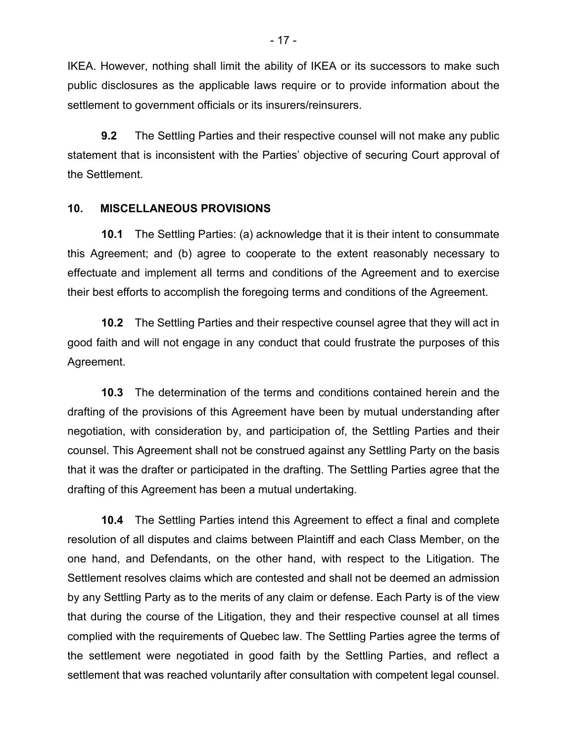IKEA. However, nothing shall limit the ability of IKEA or its successors to make such public disclosures as the applicable laws require or to provide information about the settlement to government officials or its insurers/reinsurers.

**9.2** The Settling Parties and their respective counsel will not make any public statement that is inconsistent with the Parties' objective of securing Court approval of the Settlement.

#### **10. MISCELLANEOUS PROVISIONS**

**10.1** The Settling Parties: (a) acknowledge that it is their intent to consummate this Agreement; and (b) agree to cooperate to the extent reasonably necessary to effectuate and implement all terms and conditions of the Agreement and to exercise their best efforts to accomplish the foregoing terms and conditions of the Agreement.

**10.2** The Settling Parties and their respective counsel agree that they will act in good faith and will not engage in any conduct that could frustrate the purposes of this Agreement.

**10.3** The determination of the terms and conditions contained herein and the drafting of the provisions of this Agreement have been by mutual understanding after negotiation, with consideration by, and participation of, the Settling Parties and their counsel. This Agreement shall not be construed against any Settling Party on the basis that it was the drafter or participated in the drafting. The Settling Parties agree that the drafting of this Agreement has been a mutual undertaking.

**10.4** The Settling Parties intend this Agreement to effect a final and complete resolution of all disputes and claims between Plaintiff and each Class Member, on the one hand, and Defendants, on the other hand, with respect to the Litigation. The Settlement resolves claims which are contested and shall not be deemed an admission by any Settling Party as to the merits of any claim or defense. Each Party is of the view that during the course of the Litigation, they and their respective counsel at all times complied with the requirements of Quebec law. The Settling Parties agree the terms of the settlement were negotiated in good faith by the Settling Parties, and reflect a settlement that was reached voluntarily after consultation with competent legal counsel.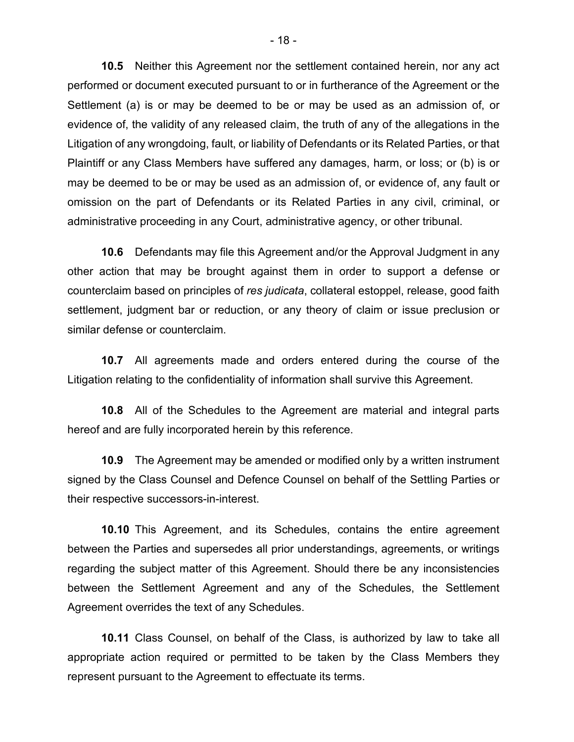**10.5** Neither this Agreement nor the settlement contained herein, nor any act performed or document executed pursuant to or in furtherance of the Agreement or the Settlement (a) is or may be deemed to be or may be used as an admission of, or evidence of, the validity of any released claim, the truth of any of the allegations in the Litigation of any wrongdoing, fault, or liability of Defendants or its Related Parties, or that Plaintiff or any Class Members have suffered any damages, harm, or loss; or (b) is or may be deemed to be or may be used as an admission of, or evidence of, any fault or omission on the part of Defendants or its Related Parties in any civil, criminal, or administrative proceeding in any Court, administrative agency, or other tribunal.

**10.6** Defendants may file this Agreement and/or the Approval Judgment in any other action that may be brought against them in order to support a defense or counterclaim based on principles of *res judicata*, collateral estoppel, release, good faith settlement, judgment bar or reduction, or any theory of claim or issue preclusion or similar defense or counterclaim.

**10.7** All agreements made and orders entered during the course of the Litigation relating to the confidentiality of information shall survive this Agreement.

**10.8** All of the Schedules to the Agreement are material and integral parts hereof and are fully incorporated herein by this reference.

**10.9** The Agreement may be amended or modified only by a written instrument signed by the Class Counsel and Defence Counsel on behalf of the Settling Parties or their respective successors-in-interest.

**10.10** This Agreement, and its Schedules, contains the entire agreement between the Parties and supersedes all prior understandings, agreements, or writings regarding the subject matter of this Agreement. Should there be any inconsistencies between the Settlement Agreement and any of the Schedules, the Settlement Agreement overrides the text of any Schedules.

**10.11** Class Counsel, on behalf of the Class, is authorized by law to take all appropriate action required or permitted to be taken by the Class Members they represent pursuant to the Agreement to effectuate its terms.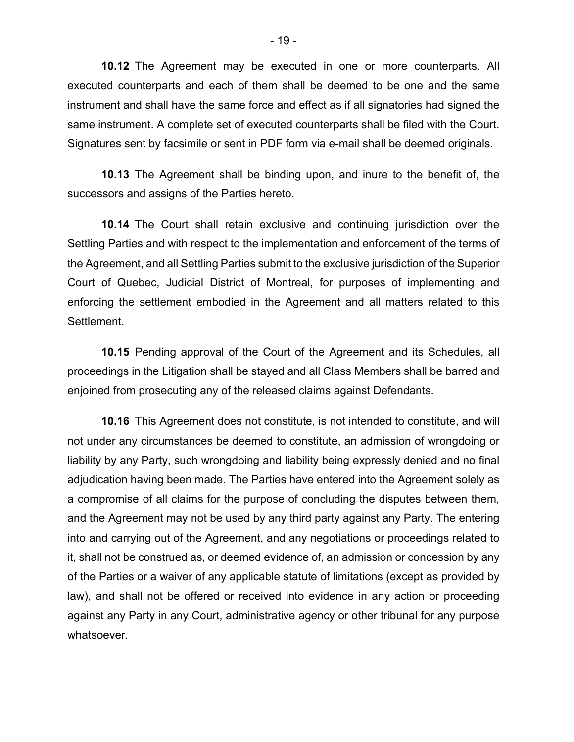**10.12** The Agreement may be executed in one or more counterparts. All executed counterparts and each of them shall be deemed to be one and the same instrument and shall have the same force and effect as if all signatories had signed the same instrument. A complete set of executed counterparts shall be filed with the Court. Signatures sent by facsimile or sent in PDF form via e-mail shall be deemed originals.

**10.13** The Agreement shall be binding upon, and inure to the benefit of, the successors and assigns of the Parties hereto.

**10.14** The Court shall retain exclusive and continuing jurisdiction over the Settling Parties and with respect to the implementation and enforcement of the terms of the Agreement, and all Settling Parties submit to the exclusive jurisdiction of the Superior Court of Quebec, Judicial District of Montreal, for purposes of implementing and enforcing the settlement embodied in the Agreement and all matters related to this Settlement.

**10.15** Pending approval of the Court of the Agreement and its Schedules, all proceedings in the Litigation shall be stayed and all Class Members shall be barred and enjoined from prosecuting any of the released claims against Defendants.

**10.16** This Agreement does not constitute, is not intended to constitute, and will not under any circumstances be deemed to constitute, an admission of wrongdoing or liability by any Party, such wrongdoing and liability being expressly denied and no final adjudication having been made. The Parties have entered into the Agreement solely as a compromise of all claims for the purpose of concluding the disputes between them, and the Agreement may not be used by any third party against any Party. The entering into and carrying out of the Agreement, and any negotiations or proceedings related to it, shall not be construed as, or deemed evidence of, an admission or concession by any of the Parties or a waiver of any applicable statute of limitations (except as provided by law), and shall not be offered or received into evidence in any action or proceeding against any Party in any Court, administrative agency or other tribunal for any purpose whatsoever.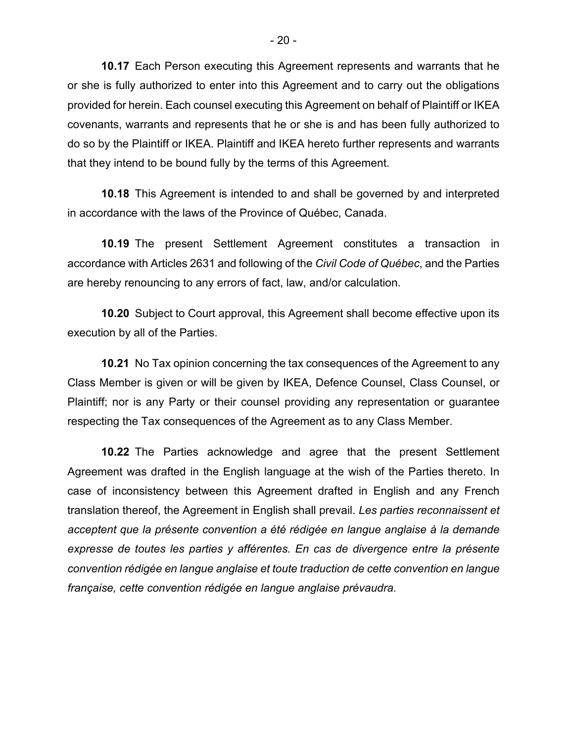**10.17** Each Person executing this Agreement represents and warrants that he or she is fully authorized to enter into this Agreement and to carry out the obligations provided for herein. Each counsel executing this Agreement on behalf of Plaintiff or IKEA covenants, warrants and represents that he or she is and has been fully authorized to do so by the Plaintiff or IKEA. Plaintiff and IKEA hereto further represents and warrants that they intend to be bound fully by the terms of this Agreement.

**10.18** This Agreement is intended to and shall be governed by and interpreted in accordance with the laws of the Province of Québec, Canada.

**10.19** The present Settlement Agreement constitutes a transaction in accordance with Articles 2631 and following of the *Civil Code of Québec*, and the Parties are hereby renouncing to any errors of fact, law, and/or calculation.

**10.20** Subject to Court approval, this Agreement shall become effective upon its execution by all of the Parties.

**10.21** No Tax opinion concerning the tax consequences of the Agreement to any Class Member is given or will be given by IKEA, Defence Counsel, Class Counsel, or Plaintiff; nor is any Party or their counsel providing any representation or guarantee respecting the Tax consequences of the Agreement as to any Class Member.

**10.22** The Parties acknowledge and agree that the present Settlement Agreement was drafted in the English language at the wish of the Parties thereto. In case of inconsistency between this Agreement drafted in English and any French translation thereof, the Agreement in English shall prevail. *Les parties reconnaissent et acceptent que la présente convention a été rédigée en langue anglaise à la demande expresse de toutes les parties y afférentes. En cas de divergence entre la présente convention rédigée en langue anglaise et toute traduction de cette convention en langue française, cette convention rédigée en langue anglaise prévaudra.*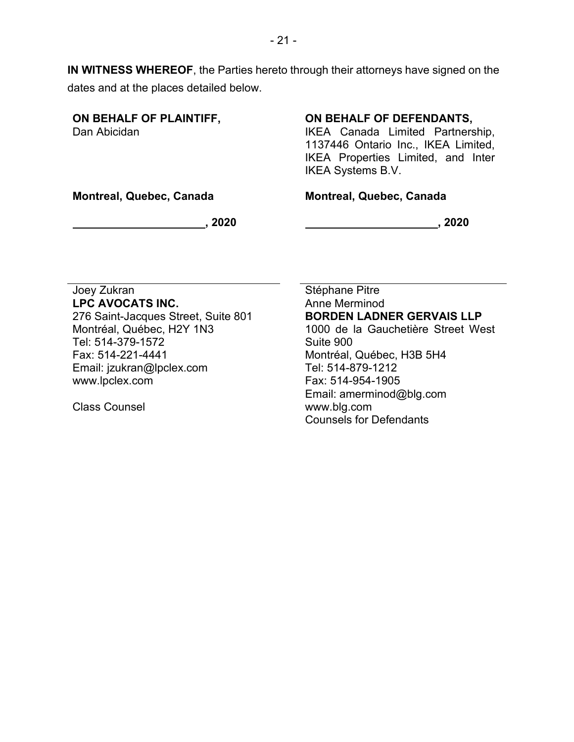**IN WITNESS WHEREOF**, the Parties hereto through their attorneys have signed on the dates and at the places detailed below.

**ON BEHALF OF PLAINTIFF,**  Dan Abicidan

### **ON BEHALF OF DEFENDANTS,**

IKEA Canada Limited Partnership, 1137446 Ontario Inc., IKEA Limited, IKEA Properties Limited, and Inter IKEA Systems B.V.

**Montreal, Quebec, Canada**

#### **Montreal, Quebec, Canada**

 $\sim$  2020  $\sim$ 

**, 2020**

#### Joey Zukran **LPC AVOCATS INC.**

276 Saint-Jacques Street, Suite 801 Montréal, Québec, H2Y 1N3 Tel: 514-379-1572 Fax: 514-221-4441 Email: jzukran@lpclex.com www.lpclex.com

Class Counsel

Stéphane Pitre Anne Merminod **BORDEN LADNER GERVAIS LLP** 1000 de la Gauchetière Street West Suite 900 Montréal, Québec, H3B 5H4 Tel: 514-879-1212 Fax: 514-954-1905 Email: amerminod@blg.com www.blg.com Counsels for Defendants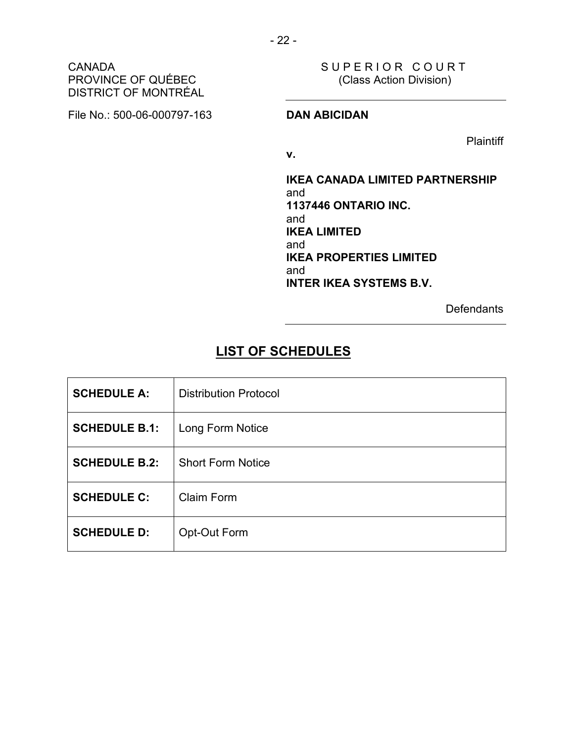#### CANADA PROVINCE OF QUÉBEC DISTRICT OF MONTRÉAL

File No.: 500-06-000797-163 **DAN ABICIDAN**

SUPERIOR COURT (Class Action Division)

**Plaintiff** 

**v.**

**IKEA CANADA LIMITED PARTNERSHIP** and **1137446 ONTARIO INC.** and **IKEA LIMITED** and **IKEA PROPERTIES LIMITED** and **INTER IKEA SYSTEMS B.V.**

**Defendants** 

# **LIST OF SCHEDULES**

| <b>SCHEDULE A:</b>   | <b>Distribution Protocol</b> |
|----------------------|------------------------------|
| <b>SCHEDULE B.1:</b> | Long Form Notice             |
| <b>SCHEDULE B.2:</b> | <b>Short Form Notice</b>     |
| <b>SCHEDULE C:</b>   | <b>Claim Form</b>            |
| <b>SCHEDULE D:</b>   | Opt-Out Form                 |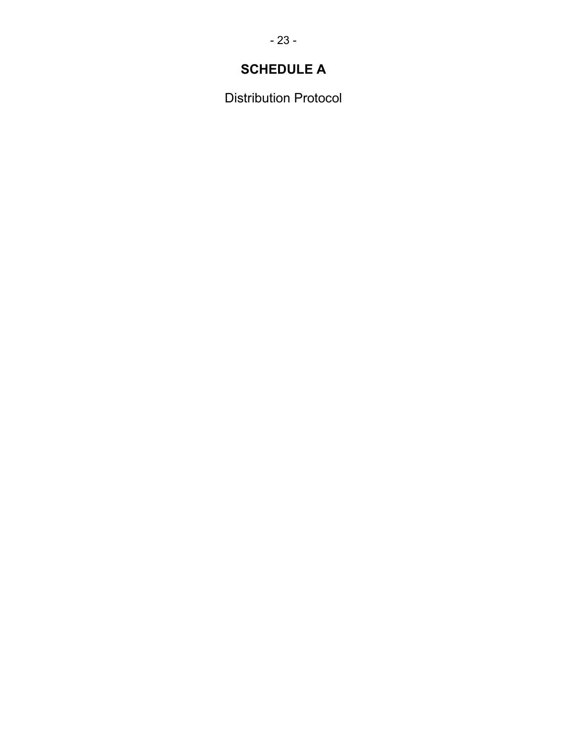# **SCHEDULE A**

Distribution Protocol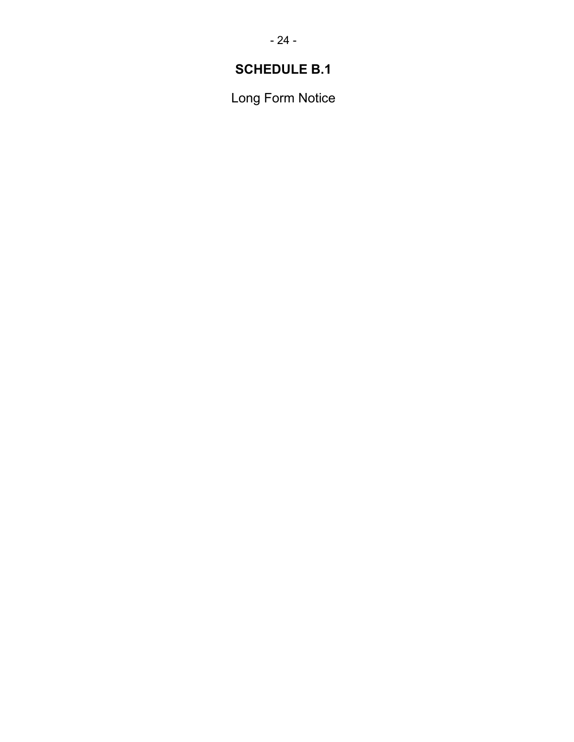# **SCHEDULE B.1**

Long Form Notice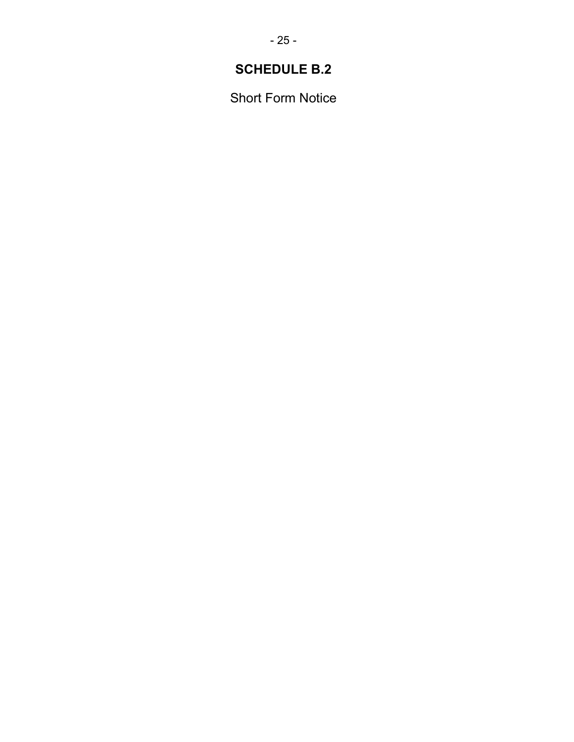# **SCHEDULE B.2**

Short Form Notice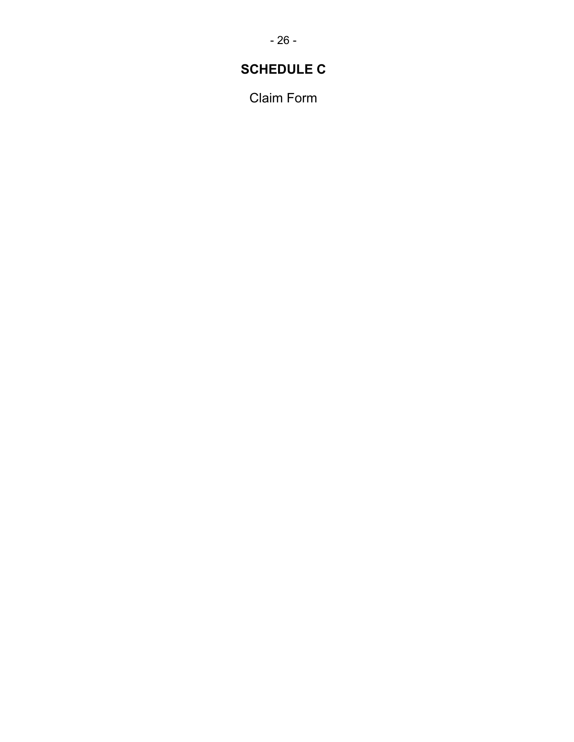# **SCHEDULE C**

Claim Form